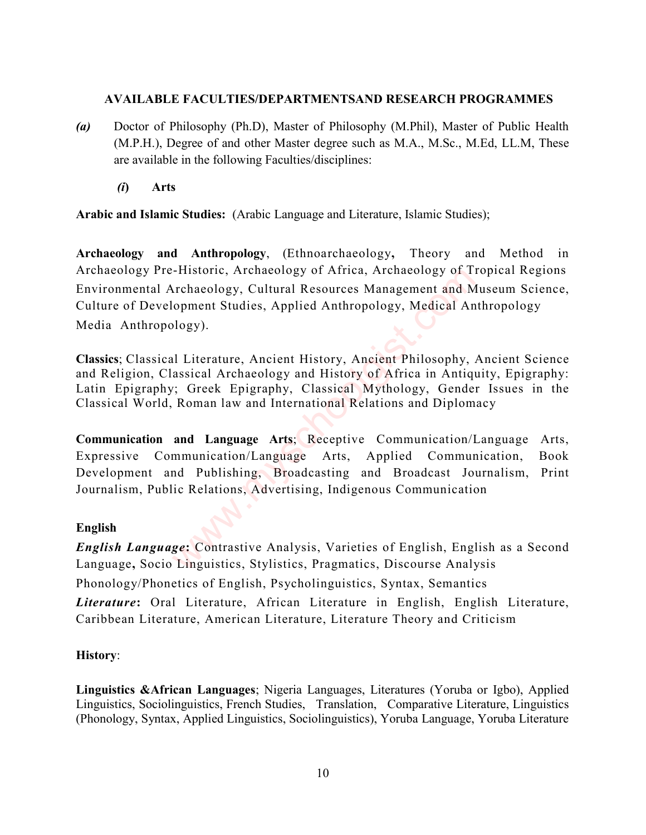#### AVAILABLE FACULTIES/DEPARTMENTSAND RESEARCH PROGRAMMES

- (a) Doctor of Philosophy (Ph.D), Master of Philosophy (M.Phil), Master of Public Health (M.P.H.), Degree of and other Master degree such as M.A., M.Sc., M.Ed, LL.M, These are available in the following Faculties/disciplines:
	- (i) Arts

Arabic and Islamic Studies: (Arabic Language and Literature, Islamic Studies);

Archaeology and Anthropology, (Ethnoarchaeology, Theory and Method in Archaeology Pre-Historic, Archaeology of Africa, Archaeology of Tropical Regions Environmental Archaeology, Cultural Resources Management and Museum Science, Culture of Development Studies, Applied Anthropology, Medical Anthropology Media Anthropology).

Classics; Classical Literature, Ancient History, Ancient Philosophy, Ancient Science and Religion, Classical Archaeology and History of Africa in Antiquity, Epigraphy: Latin Epigraphy; Greek Epigraphy, Classical Mythology, Gender Issues in the Classical World, Roman law and International Relations and Diplomacy

Communication and Language Arts; Receptive Communication/Language Arts, Expressive Communication/Language Arts, Applied Communication, Book Development and Publishing, Broadcasting and Broadcast Journalism, Print Journalism, Public Relations, Advertising, Indigenous Communication -Historic, Archaeology of Africa, Archaeology of Tichaeology, Cultural Resources Management and Mopment Studies, Applied Anthropology, Medical An<br>ology).<br>Il Literature, Ancient History, Ancient Philosophy, assical Archaeol

# English

English Language: Contrastive Analysis, Varieties of English, English as a Second Language, Socio Linguistics, Stylistics, Pragmatics, Discourse Analysis Phonology/Phonetics of English, Psycholinguistics, Syntax, Semantics Literature: Oral Literature, African Literature in English, English Literature, Caribbean Literature, American Literature, Literature Theory and Criticism

# History:

Linguistics &African Languages; Nigeria Languages, Literatures (Yoruba or Igbo), Applied Linguistics, Sociolinguistics, French Studies, Translation, Comparative Literature, Linguistics (Phonology, Syntax, Applied Linguistics, Sociolinguistics), Yoruba Language, Yoruba Literature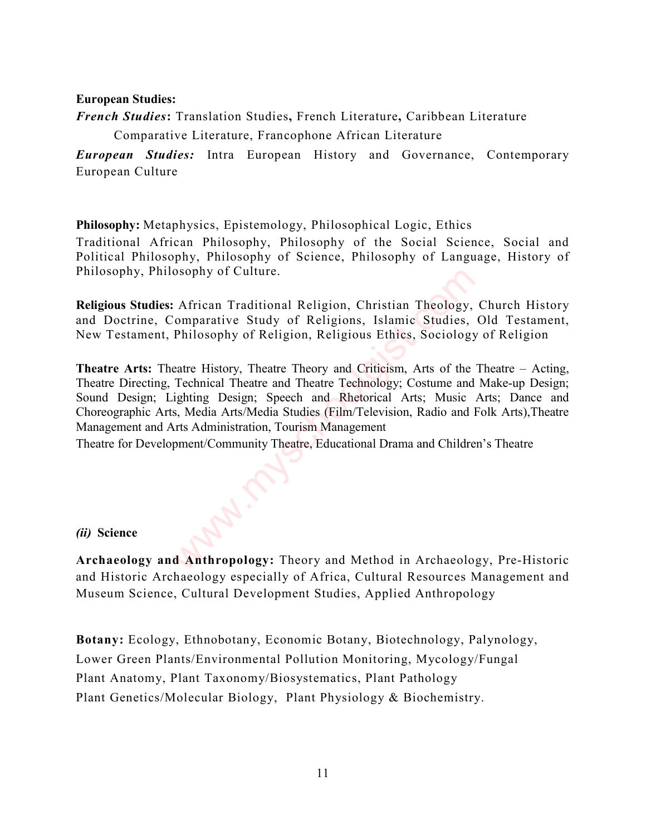#### European Studies:

French Studies: Translation Studies, French Literature, Caribbean Literature

Comparative Literature, Francophone African Literature

**European Studies:** Intra European History and Governance, Contemporary European Culture

Philosophy: Metaphysics, Epistemology, Philosophical Logic, Ethics Traditional African Philosophy, Philosophy of the Social Science, Social and Political Philosophy, Philosophy of Science, Philosophy of Language, History of Philosophy, Philosophy of Culture.

Religious Studies: African Traditional Religion, Christian Theology, Church History and Doctrine, Comparative Study of Religions, Islamic Studies, Old Testament, New Testament, Philosophy of Religion, Religious Ethics, Sociology of Religion

Theatre Arts: Theatre History, Theatre Theory and Criticism, Arts of the Theatre – Acting, Theatre Directing, Technical Theatre and Theatre Technology; Costume and Make-up Design; Sound Design; Lighting Design; Speech and Rhetorical Arts; Music Arts; Dance and Choreographic Arts, Media Arts/Media Studies (Film/Television, Radio and Folk Arts),Theatre Management and Arts Administration, Tourism Management osophy of Culture.<br>
2. African Traditional Religion, Christian Theology,<br>
2. Comparative Study of Religions, Islamic Studies,<br>
2. Philosophy of Religion, Religious Ethics, Sociology<br>
2. Philosophy, Theatre Theory and Criti

Theatre for Development/Community Theatre, Educational Drama and Children's Theatre

# (ii) Science

Archaeology and Anthropology: Theory and Method in Archaeology, Pre-Historic and Historic Archaeology especially of Africa, Cultural Resources Management and Museum Science, Cultural Development Studies, Applied Anthropology

Botany: Ecology, Ethnobotany, Economic Botany, Biotechnology, Palynology, Lower Green Plants/Environmental Pollution Monitoring, Mycology/Fungal Plant Anatomy, Plant Taxonomy/Biosystematics, Plant Pathology Plant Genetics/Molecular Biology, Plant Physiology & Biochemistry.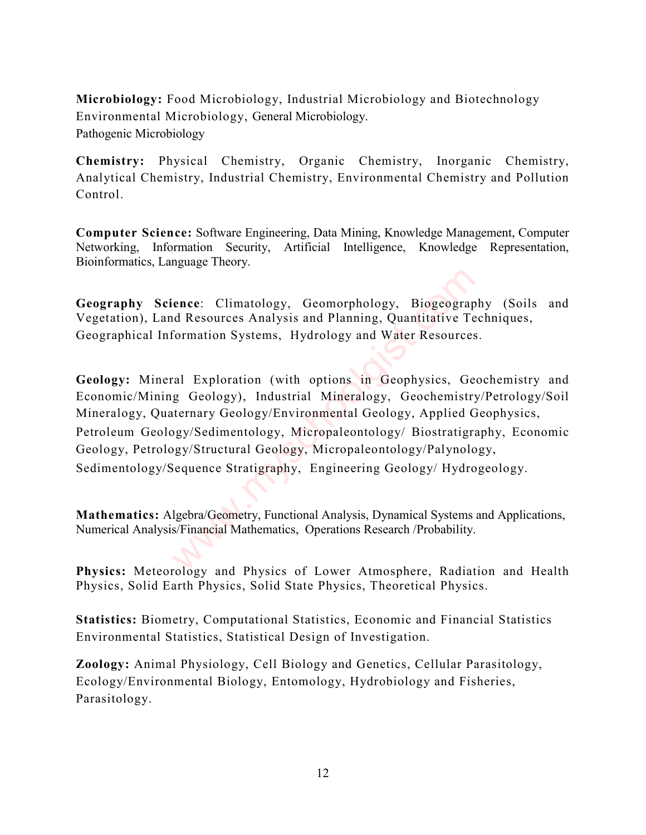Microbiology: Food Microbiology, Industrial Microbiology and Biotechnology Environmental Microbiology, General Microbiology. Pathogenic Microbiology

Chemistry: Physical Chemistry, Organic Chemistry, Inorganic Chemistry, Analytical Chemistry, Industrial Chemistry, Environmental Chemistry and Pollution Control.

Computer Science: Software Engineering, Data Mining, Knowledge Management, Computer Networking, Information Security, Artificial Intelligence, Knowledge Representation, Bioinformatics, Language Theory.

Geography Science: Climatology, Geomorphology, Biogeography (Soils and Vegetation), Land Resources Analysis and Planning, Quantitative Techniques, Geographical Information Systems, Hydrology and Water Resources.

Geology: Mineral Exploration (with options in Geophysics, Geochemistry and Economic/Mining Geology), Industrial Mineralogy, Geochemistry/Petrology/Soil Mineralogy, Quaternary Geology/Environmental Geology, Applied Geophysics, Petroleum Geology/Sedimentology, Micropaleontology/ Biostratigraphy, Economic Geology, Petrology/Structural Geology, Micropaleontology/Palynology, Sedimentology/Sequence Stratigraphy, Engineering Geology/ Hydrogeology. ence: Climatology, Geomorphology, Biogeograp<br>d Resources Analysis and Planning, Quantitative Te<br>formation Systems, Hydrology and Water Resources<br>ral Exploration (with options in Geophysics, Ge<br>g Geology), Industrial Minera

Mathematics: Algebra/Geometry, Functional Analysis, Dynamical Systems and Applications, Numerical Analysis/Financial Mathematics, Operations Research /Probability.

Physics: Meteorology and Physics of Lower Atmosphere, Radiation and Health Physics, Solid Earth Physics, Solid State Physics, Theoretical Physics.

Statistics: Biometry, Computational Statistics, Economic and Financial Statistics Environmental Statistics, Statistical Design of Investigation.

Zoology: Animal Physiology, Cell Biology and Genetics, Cellular Parasitology, Ecology/Environmental Biology, Entomology, Hydrobiology and Fisheries, Parasitology.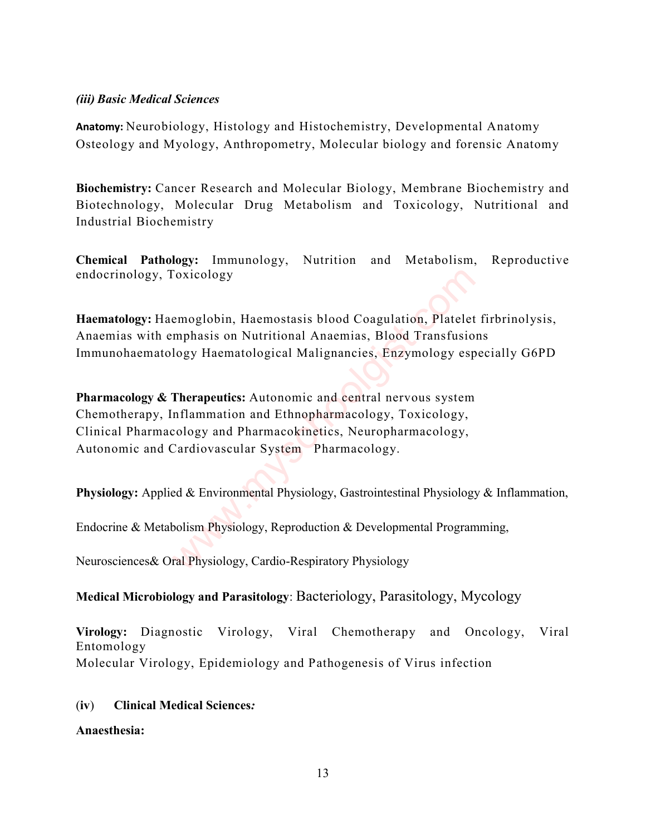#### (iii) Basic Medical Sciences

Anatomy: Neurobiology, Histology and Histochemistry, Developmental Anatomy Osteology and Myology, Anthropometry, Molecular biology and forensic Anatomy

Biochemistry: Cancer Research and Molecular Biology, Membrane Biochemistry and Biotechnology, Molecular Drug Metabolism and Toxicology, Nutritional and Industrial Biochemistry

Chemical Pathology: Immunology, Nutrition and Metabolism, Reproductive endocrinology, Toxicology

Haematology: Haemoglobin, Haemostasis blood Coagulation, Platelet firbrinolysis, Anaemias with emphasis on Nutritional Anaemias, Blood Transfusions Immunohaematology Haematological Malignancies, Enzymology especially G6PD

Pharmacology & Therapeutics: Autonomic and central nervous system Chemotherapy, Inflammation and Ethnopharmacology, Toxicology, Clinical Pharmacology and Pharmacokinetics, Neuropharmacology, Autonomic and Cardiovascular System Pharmacology. Toxicology<br>
emoglobin, Haemostasis blood Coagulation, Platelet<br>
mphasis on Nutritional Anaemias, Blood Transfusio<br>
logy Haematological Malignancies, Enzymology esp<br> **Therapeutics:** Autonomic and central nervous system<br>
nfl

Physiology: Applied & Environmental Physiology, Gastrointestinal Physiology & Inflammation,

Endocrine & Metabolism Physiology, Reproduction & Developmental Programming,

Neurosciences& Oral Physiology, Cardio-Respiratory Physiology

# Medical Microbiology and Parasitology: Bacteriology, Parasitology, Mycology

Virology: Diagnostic Virology, Viral Chemotherapy and Oncology, Viral Entomology Molecular Virology, Epidemiology and Pathogenesis of Virus infection

# (iv) Clinical Medical Sciences:

Anaesthesia: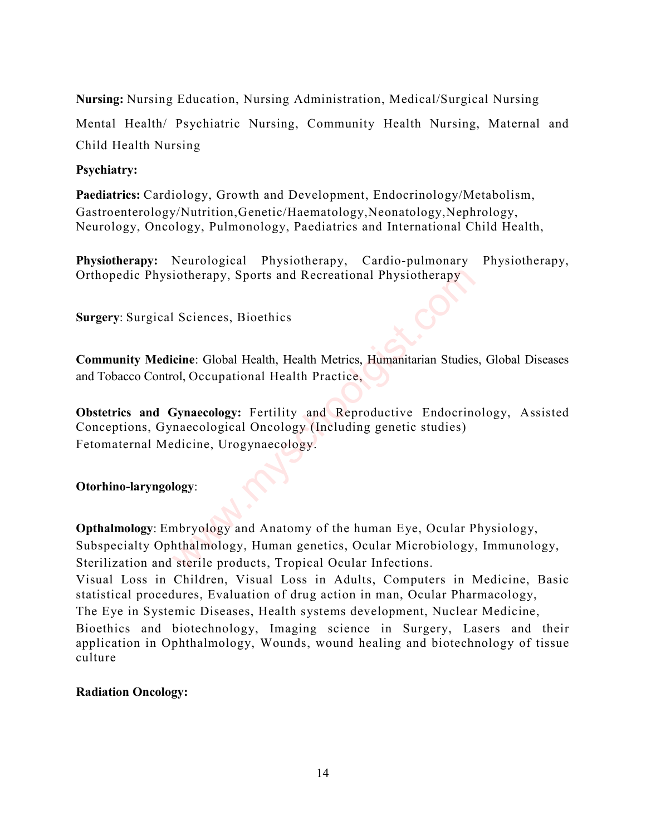Nursing: Nursing Education, Nursing Administration, Medical/Surgical Nursing

Mental Health/ Psychiatric Nursing, Community Health Nursing, Maternal and Child Health Nursing

# Psychiatry:

Paediatrics: Cardiology, Growth and Development, Endocrinology/Metabolism, Gastroenterology/Nutrition, Genetic/Haematology, Neonatology, Nephrology, Neurology, Oncology, Pulmonology, Paediatrics and International Child Health,

Physiotherapy: Neurological Physiotherapy, Cardio-pulmonary Physiotherapy, Orthopedic Physiotherapy, Sports and Recreational Physiotherapy

Surgery: Surgical Sciences, Bioethics

Community Medicine: Global Health, Health Metrics, Humanitarian Studies, Global Diseases and Tobacco Control, Occupational Health Practice,

Obstetrics and Gynaecology: Fertility and Reproductive Endocrinology, Assisted Conceptions, Gynaecological Oncology (Including genetic studies) Fetomaternal Medicine, Urogynaecology.

# Otorhino-laryngology:

Opthalmology: Embryology and Anatomy of the human Eye, Ocular Physiology, Subspecialty Ophthalmology, Human genetics, Ocular Microbiology, Immunology, Sterilization and sterile products, Tropical Ocular Infections. iotherapy, Sports and Recreational Physiotherapy<br>
I Sciences, Bioethics<br>
icine: Global Health, Health Metrics, Humanitarian Studies<br>
ol, Occupational Health Practice,<br> **Synaecology:** Fertility and Reproductive Endocrine<br>
n

Visual Loss in Children, Visual Loss in Adults, Computers in Medicine, Basic statistical procedures, Evaluation of drug action in man, Ocular Pharmacology, The Eye in Systemic Diseases, Health systems development, Nuclear Medicine,

Bioethics and biotechnology, Imaging science in Surgery, Lasers and their application in Ophthalmology, Wounds, wound healing and biotechnology of tissue culture

# Radiation Oncology: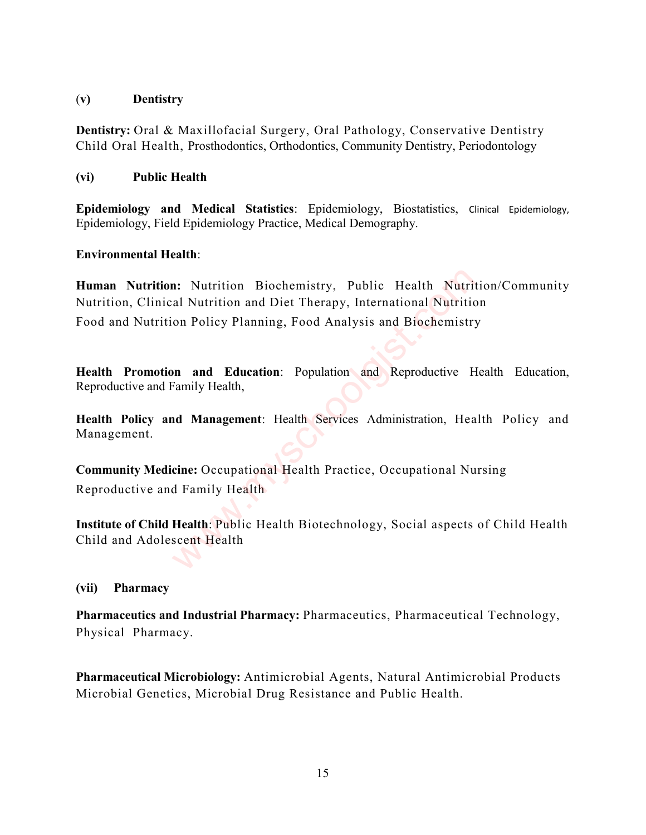#### (v) Dentistry

Dentistry: Oral & Maxillofacial Surgery, Oral Pathology, Conservative Dentistry Child Oral Health, Prosthodontics, Orthodontics, Community Dentistry, Periodontology

# (vi) Public Health

Epidemiology and Medical Statistics: Epidemiology, Biostatistics, Clinical Epidemiology, Epidemiology, Field Epidemiology Practice, Medical Demography.

# Environmental Health:

Human Nutrition: Nutrition Biochemistry, Public Health Nutrition/Community Nutrition, Clinical Nutrition and Diet Therapy, International Nutrition Food and Nutrition Policy Planning, Food Analysis and Biochemistry **a:** Nutrition Biochemistry, Public Health Nutritian and Nutrition and Diet Therapy, International Nutritic on Policy Planning, Food Analysis and Biochemistry<br> **and Education:** Population and Reproductive H<sup>2</sup> analysis and

Health Promotion and Education: Population and Reproductive Health Education, Reproductive and Family Health,

Health Policy and Management: Health Services Administration, Health Policy and Management.

Community Medicine: Occupational Health Practice, Occupational Nursing Reproductive and Family Health

Institute of Child Health: Public Health Biotechnology, Social aspects of Child Health Child and Adolescent Health

# (vii) Pharmacy

Pharmaceutics and Industrial Pharmacy: Pharmaceutics, Pharmaceutical Technology, Physical Pharmacy.

Pharmaceutical Microbiology: Antimicrobial Agents, Natural Antimicrobial Products Microbial Genetics, Microbial Drug Resistance and Public Health.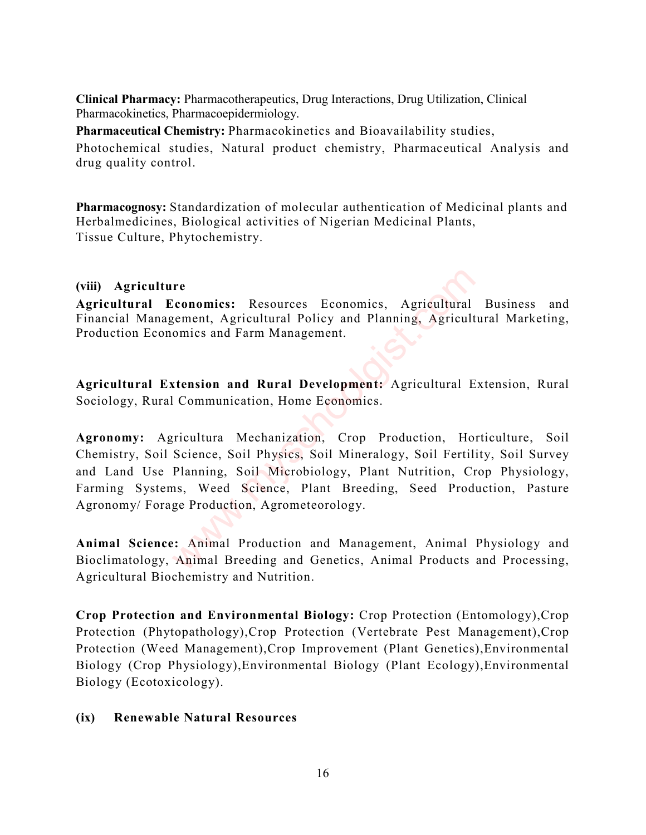Clinical Pharmacy: Pharmacotherapeutics, Drug Interactions, Drug Utilization, Clinical Pharmacokinetics, Pharmacoepidermiology.

Pharmaceutical Chemistry: Pharmacokinetics and Bioavailability studies, Photochemical studies, Natural product chemistry, Pharmaceutical Analysis and drug quality control.

Pharmacognosy: Standardization of molecular authentication of Medicinal plants and Herbalmedicines, Biological activities of Nigerian Medicinal Plants, Tissue Culture, Phytochemistry.

# (viii) Agriculture

Agricultural Economics: Resources Economics, Agricultural Business and Financial Management, Agricultural Policy and Planning, Agricultural Marketing, Production Economics and Farm Management.

Agricultural Extension and Rural Development: Agricultural Extension, Rural Sociology, Rural Communication, Home Economics.

Agronomy: Agricultura Mechanization, Crop Production, Horticulture, Soil Chemistry, Soil Science, Soil Physics, Soil Mineralogy, Soil Fertility, Soil Survey and Land Use Planning, Soil Microbiology, Plant Nutrition, Crop Physiology, Farming Systems, Weed Science, Plant Breeding, Seed Production, Pasture Agronomy/ Forage Production, Agrometeorology. re<br>
Conomics: Resources Economics, Agricultural<br>
gement, Agricultural Policy and Planning, Agricult<br>
comes and Farm Management.<br>
<br> **Extension and Rural Development:** Agricultural E<br>
Communication, Home Economics.<br>
<br>
Figure

Animal Science: Animal Production and Management, Animal Physiology and Bioclimatology, Animal Breeding and Genetics, Animal Products and Processing, Agricultural Biochemistry and Nutrition.

Crop Protection and Environmental Biology: Crop Protection (Entomology),Crop Protection (Phytopathology),Crop Protection (Vertebrate Pest Management),Crop Protection (Weed Management),Crop Improvement (Plant Genetics),Environmental Biology (Crop Physiology),Environmental Biology (Plant Ecology),Environmental Biology (Ecotoxicology).

# (ix) Renewable Natural Resources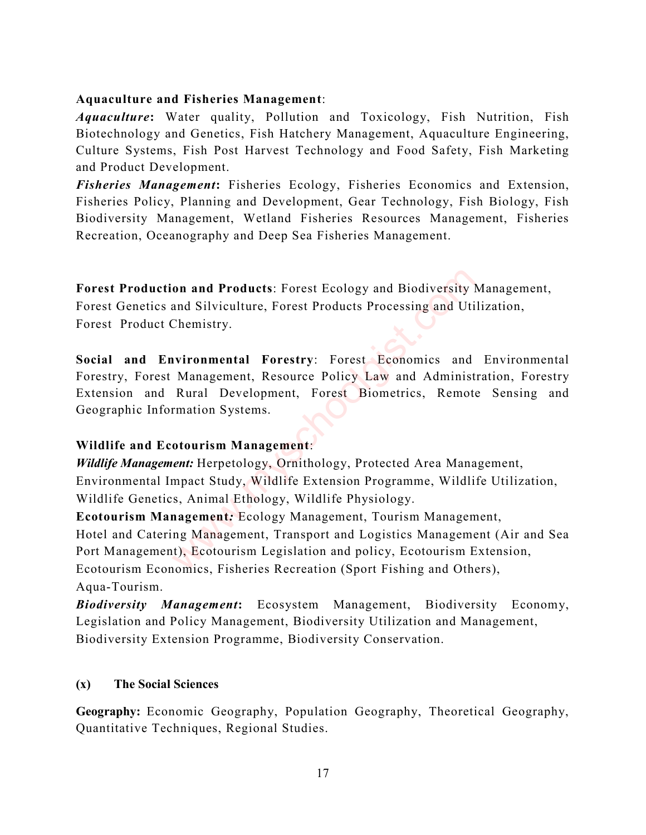# Aquaculture and Fisheries Management:

*Aquaculture*: Water quality, Pollution and Toxicology, Fish Nutrition, Fish Biotechnology and Genetics, Fish Hatchery Management, Aquaculture Engineering, Culture Systems, Fish Post Harvest Technology and Food Safety, Fish Marketing and Product Development.

Fisheries Management: Fisheries Ecology, Fisheries Economics and Extension, Fisheries Policy, Planning and Development, Gear Technology, Fish Biology, Fish Biodiversity Management, Wetland Fisheries Resources Management, Fisheries Recreation, Oceanography and Deep Sea Fisheries Management.

Forest Production and Products: Forest Ecology and Biodiversity Management,

Forest Genetics and Silviculture, Forest Products Processing and Utilization, Forest Product Chemistry.

Social and Environmental Forestry: Forest Economics and Environmental Forestry, Forest Management, Resource Policy Law and Administration, Forestry Extension and Rural Development, Forest Biometrics, Remote Sensing and Geographic Information Systems. on and Products: Forest Ecology and Biodiversity l<br>
and Silviculture, Forest Products Processing and Uti<br>
Chemistry.<br>
wironmental Forestry: Forest Economics and<br>
Management, Resource Policy Law and Administ<br>
Rural Developm

# Wildlife and Ecotourism Management:

Wildlife Management: Herpetology, Ornithology, Protected Area Management, Environmental Impact Study, Wildlife Extension Programme, Wildlife Utilization, Wildlife Genetics, Animal Ethology, Wildlife Physiology.

Ecotourism Management: Ecology Management, Tourism Management, Hotel and Catering Management, Transport and Logistics Management (Air and Sea Port Management), Ecotourism Legislation and policy, Ecotourism Extension, Ecotourism Economics, Fisheries Recreation (Sport Fishing and Others), Aqua-Tourism.

Biodiversity Management: Ecosystem Management, Biodiversity Economy, Legislation and Policy Management, Biodiversity Utilization and Management, Biodiversity Extension Programme, Biodiversity Conservation.

# (x) The Social Sciences

Geography: Economic Geography, Population Geography, Theoretical Geography, Quantitative Techniques, Regional Studies.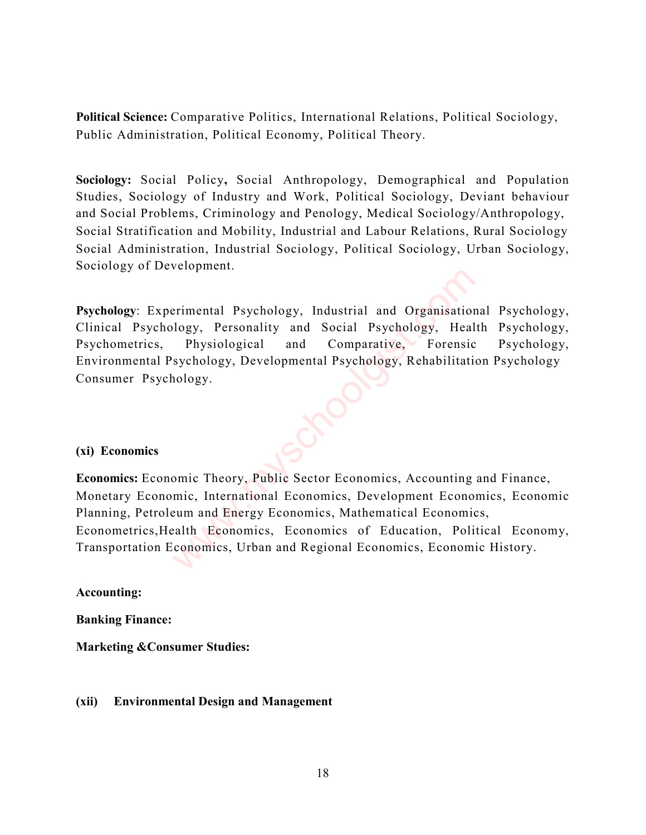Political Science: Comparative Politics, International Relations, Political Sociology, Public Administration, Political Economy, Political Theory.

Sociology: Social Policy, Social Anthropology, Demographical and Population Studies, Sociology of Industry and Work, Political Sociology, Deviant behaviour and Social Problems, Criminology and Penology, Medical Sociology/Anthropology, Social Stratification and Mobility, Industrial and Labour Relations, Rural Sociology Social Administration, Industrial Sociology, Political Sociology, Urban Sociology, Sociology of Development.

Psychology: Experimental Psychology, Industrial and Organisational Psychology, Clinical Psychology, Personality and Social Psychology, Health Psychology, Psychometrics, Physiological and Comparative, Forensic Psychology, Environmental Psychology, Developmental Psychology, Rehabilitation Psychology Consumer Psychology.

#### (xi) Economics

Economics: Economic Theory, Public Sector Economics, Accounting and Finance, Monetary Economic, International Economics, Development Economics, Economic Planning, Petroleum and Energy Economics, Mathematical Economics, Econometrics,Health Economics, Economics of Education, Political Economy, Transportation Economics, Urban and Regional Economics, Economic History. Example 18 Psychology, Industrial and Organisation<br>
10gy, Personality and Social Psychology, Heal<br>
Physiological and Comparative, Forensic<br>
sychology, Developmental Psychology, Rehabilitation<br>
10gy.<br>
2008. The Sychology, P

Accounting:

Banking Finance:

Marketing &Consumer Studies:

#### (xii) Environmental Design and Management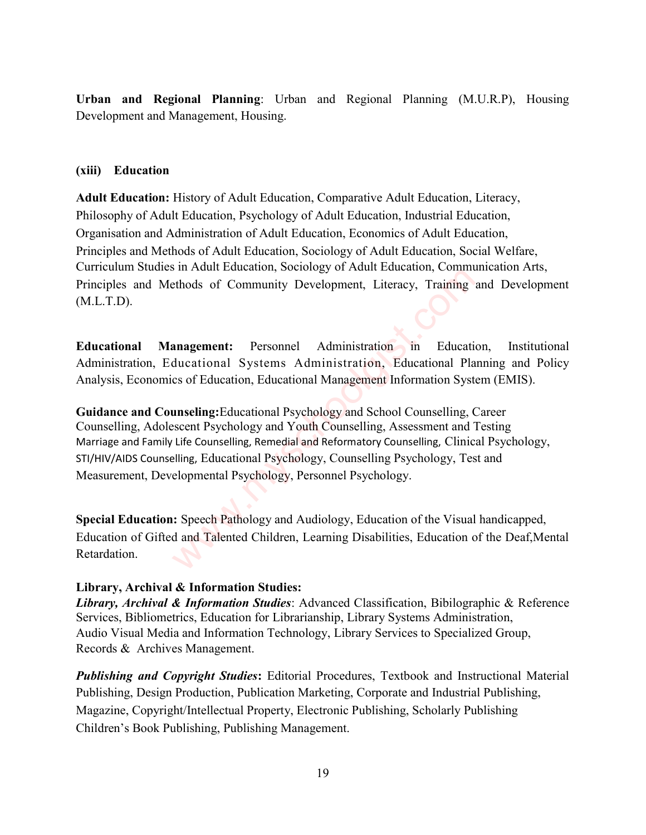Urban and Regional Planning: Urban and Regional Planning (M.U.R.P), Housing Development and Management, Housing.

#### (xiii) Education

Adult Education: History of Adult Education, Comparative Adult Education, Literacy, Philosophy of Adult Education, Psychology of Adult Education, Industrial Education, Organisation and Administration of Adult Education, Economics of Adult Education, Principles and Methods of Adult Education, Sociology of Adult Education, Social Welfare, Curriculum Studies in Adult Education, Sociology of Adult Education, Communication Arts, Principles and Methods of Community Development, Literacy, Training and Development (M.L.T.D).

Educational Management: Personnel Administration in Education, Institutional Administration, Educational Systems Administration, Educational Planning and Policy Analysis, Economics of Education, Educational Management Information System (EMIS).

Guidance and Counseling:Educational Psychology and School Counselling, Career Counselling, Adolescent Psychology and Youth Counselling, Assessment and Testing Marriage and Family Life Counselling, Remedial and Reformatory Counselling, Clinical Psychology, STI/HIV/AIDS Counselling, Educational Psychology, Counselling Psychology, Test and Measurement, Developmental Psychology, Personnel Psychology. annagement: Personnel Administration in Education, Commethods of Community Development, Literacy, Training ethods of Community Development, Literacy, Training ethoducational Systems Administration, Educational Places of Ed

Special Education: Speech Pathology and Audiology, Education of the Visual handicapped, Education of Gifted and Talented Children, Learning Disabilities, Education of the Deaf,Mental Retardation.

# Library, Archival & Information Studies:

Library, Archival & Information Studies: Advanced Classification, Bibilographic & Reference Services, Bibliometrics, Education for Librarianship, Library Systems Administration, Audio Visual Media and Information Technology, Library Services to Specialized Group, Records & Archives Management.

**Publishing and Copyright Studies:** Editorial Procedures, Textbook and Instructional Material Publishing, Design Production, Publication Marketing, Corporate and Industrial Publishing, Magazine, Copyright/Intellectual Property, Electronic Publishing, Scholarly Publishing Children's Book Publishing, Publishing Management.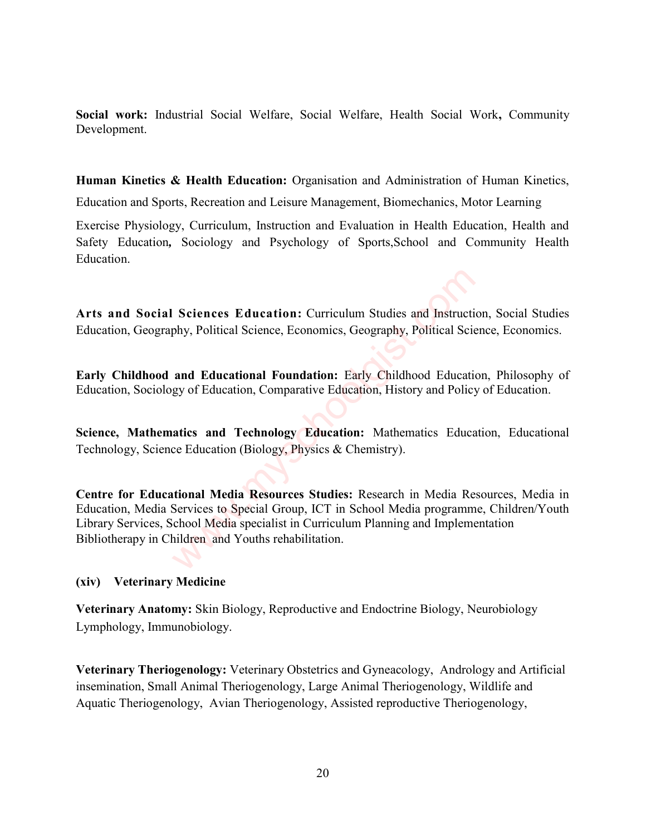Social work: Industrial Social Welfare, Social Welfare, Health Social Work, Community Development.

Human Kinetics & Health Education: Organisation and Administration of Human Kinetics, Education and Sports, Recreation and Leisure Management, Biomechanics, Motor Learning

Exercise Physiology, Curriculum, Instruction and Evaluation in Health Education, Health and Safety Education, Sociology and Psychology of Sports,School and Community Health Education.

Arts and Social Sciences Education: Curriculum Studies and Instruction, Social Studies Education, Geography, Political Science, Economics, Geography, Political Science, Economics.

Early Childhood and Educational Foundation: Early Childhood Education, Philosophy of Education, Sociology of Education, Comparative Education, History and Policy of Education.

Science, Mathematics and Technology Education: Mathematics Education, Educational Technology, Science Education (Biology, Physics & Chemistry).

Centre for Educational Media Resources Studies: Research in Media Resources, Media in Education, Media Services to Special Group, ICT in School Media programme, Children/Youth Library Services, School Media specialist in Curriculum Planning and Implementation Bibliotherapy in Children and Youths rehabilitation. Sciences Education: Curriculum Studies and Instruction<br>thy, Political Science, Economics, Geography, Political Science<br>and Educational Foundation: Early Childhood Education<br>gy of Education, Comparative Education, History a

#### (xiv) Veterinary Medicine

Veterinary Anatomy: Skin Biology, Reproductive and Endoctrine Biology, Neurobiology Lymphology, Immunobiology.

Veterinary Theriogenology: Veterinary Obstetrics and Gyneacology, Andrology and Artificial insemination, Small Animal Theriogenology, Large Animal Theriogenology, Wildlife and Aquatic Theriogenology, Avian Theriogenology, Assisted reproductive Theriogenology,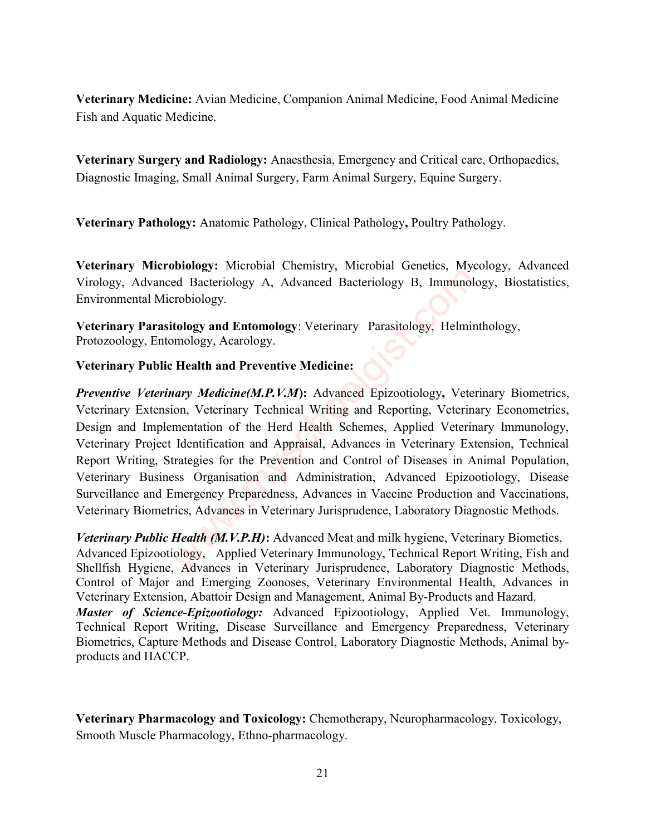Veterinary Medicine: Avian Medicine, Companion Animal Medicine, Food Animal Medicine Fish and Aquatic Medicine.

Veterinary Surgery and Radiology: Anaesthesia, Emergency and Critical care, Orthopaedics, Diagnostic Imaging, Small Animal Surgery, Farm Animal Surgery, Equine Surgery.

Veterinary Pathology: Anatomic Pathology, Clinical Pathology, Poultry Pathology.

Veterinary Microbiology: Microbial Chemistry, Microbial Genetics, Mycology, Advanced Virology, Advanced Bacteriology A, Advanced Bacteriology B, Immunology, Biostatistics, Environmental Microbiology.

Veterinary Parasitology and Entomology: Veterinary Parasitology, Helminthology, Protozoology, Entomology, Acarology.

#### Veterinary Public Health and Preventive Medicine:

Preventive Veterinary Medicine(M.P.V.M): Advanced Epizootiology, Veterinary Biometrics, Veterinary Extension, Veterinary Technical Writing and Reporting, Veterinary Econometrics, Design and Implementation of the Herd Health Schemes, Applied Veterinary Immunology, Veterinary Project Identification and Appraisal, Advances in Veterinary Extension, Technical Report Writing, Strategies for the Prevention and Control of Diseases in Animal Population, Veterinary Business Organisation and Administration, Advanced Epizootiology, Disease Surveillance and Emergency Preparedness, Advances in Vaccine Production and Vaccinations, Veterinary Biometrics, Advances in Veterinary Jurisprudence, Laboratory Diagnostic Methods. Bacteriology A, Advanced Bacteriology B, Immunology.<br>
tology and Entomology: Veterinary Parasitology, Helmin<br>
tology and Entomology: Veterinary Parasitology, Helmin<br>
mology, Acarology.<br> **Health and Preventive Medicine:**<br>
i

*Veterinary Public Health (M.V.P.H)*: Advanced Meat and milk hygiene, Veterinary Biometics, Advanced Epizootiology, Applied Veterinary Immunology, Technical Report Writing, Fish and Shellfish Hygiene, Advances in Veterinary Jurisprudence, Laboratory Diagnostic Methods, Control of Major and Emerging Zoonoses, Veterinary Environmental Health, Advances in Veterinary Extension, Abattoir Design and Management, Animal By-Products and Hazard. Master of Science-Epizootiology: Advanced Epizootiology, Applied Vet. Immunology, Technical Report Writing, Disease Surveillance and Emergency Preparedness, Veterinary Biometrics, Capture Methods and Disease Control, Laboratory Diagnostic Methods, Animal byproducts and HACCP.

Veterinary Pharmacology and Toxicology: Chemotherapy, Neuropharmacology, Toxicology, Smooth Muscle Pharmacology, Ethno-pharmacology.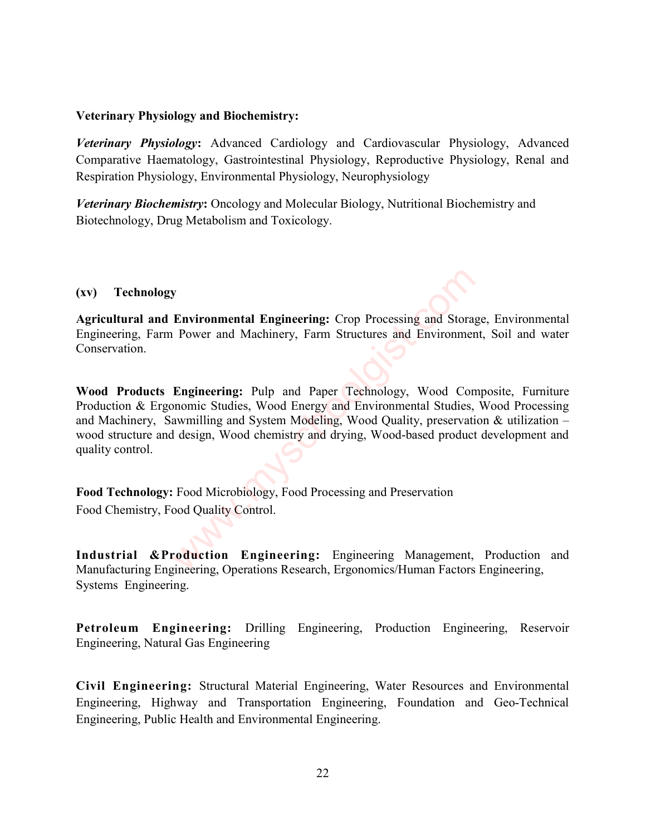#### Veterinary Physiology and Biochemistry:

Veterinary Physiology: Advanced Cardiology and Cardiovascular Physiology, Advanced Comparative Haematology, Gastrointestinal Physiology, Reproductive Physiology, Renal and Respiration Physiology, Environmental Physiology, Neurophysiology

Veterinary Biochemistry: Oncology and Molecular Biology, Nutritional Biochemistry and Biotechnology, Drug Metabolism and Toxicology.

#### (xv) Technology

Agricultural and Environmental Engineering: Crop Processing and Storage, Environmental Engineering, Farm Power and Machinery, Farm Structures and Environment, Soil and water Conservation.

Wood Products Engineering: Pulp and Paper Technology, Wood Composite, Furniture Production & Ergonomic Studies, Wood Energy and Environmental Studies, Wood Processing and Machinery, Sawmilling and System Modeling, Wood Quality, preservation & utilization – wood structure and design, Wood chemistry and drying, Wood-based product development and quality control. **Environmental Engineering:** Crop Processing and Storate Power and Machinery, Farm Structures and Environmental Power and Machinery, Farm Structures and Environmental<br> **Engineering:** Pulp and Paper Technology, Wood Connomi

Food Technology: Food Microbiology, Food Processing and Preservation Food Chemistry, Food Quality Control.

Industrial &Production Engineering: Engineering Management, Production and Manufacturing Engineering, Operations Research, Ergonomics/Human Factors Engineering, Systems Engineering.

Petroleum Engineering: Drilling Engineering, Production Engineering, Reservoir Engineering, Natural Gas Engineering

Civil Engineering: Structural Material Engineering, Water Resources and Environmental Engineering, Highway and Transportation Engineering, Foundation and Geo-Technical Engineering, Public Health and Environmental Engineering.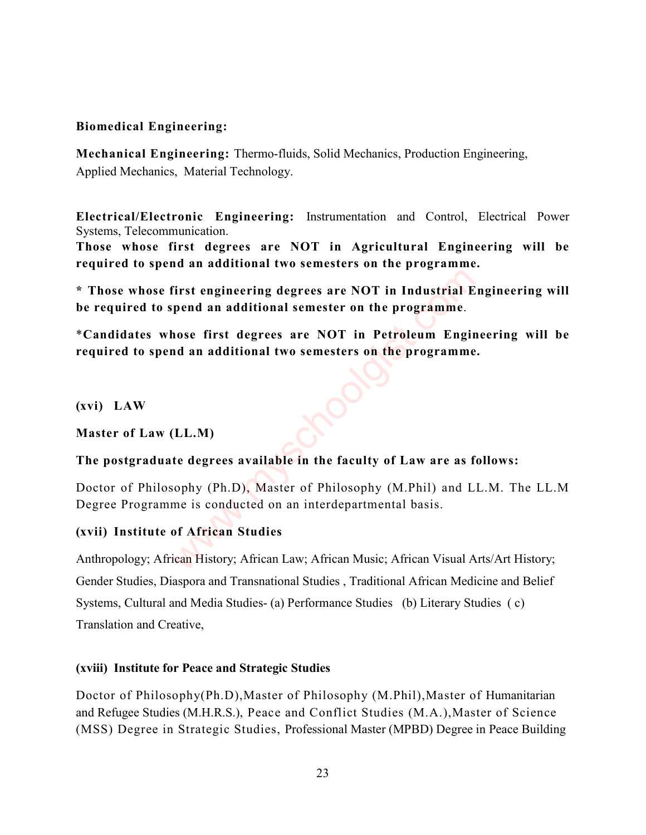# Biomedical Engineering:

Mechanical Engineering: Thermo-fluids, Solid Mechanics, Production Engineering, Applied Mechanics, Material Technology.

Electrical/Electronic Engineering: Instrumentation and Control, Electrical Power Systems, Telecommunication.

Those whose first degrees are NOT in Agricultural Engineering will be required to spend an additional two semesters on the programme.

\* Those whose first engineering degrees are NOT in Industrial Engineering will be required to spend an additional semester on the programme. First engineering degrees are NOT in Industrial E<br>
pend an additional semester on the programme.<br>
hose first degrees are NOT in Petroleum Engin<br>
an additional two semesters on the programme<br>
(LL.M)<br>
te degrees available in

\*Candidates whose first degrees are NOT in Petroleum Engineering will be required to spend an additional two semesters on the programme.

(xvi) LAW

Master of Law (LL.M)

#### The postgraduate degrees available in the faculty of Law are as follows:

Doctor of Philosophy (Ph.D), Master of Philosophy (M.Phil) and LL.M. The LL.M Degree Programme is conducted on an interdepartmental basis.

# (xvii) Institute of African Studies

Anthropology; African History; African Law; African Music; African Visual Arts/Art History; Gender Studies, Diaspora and Transnational Studies , Traditional African Medicine and Belief Systems, Cultural and Media Studies- (a) Performance Studies (b) Literary Studies (c) Translation and Creative,

#### (xviii) Institute for Peace and Strategic Studies

Doctor of Philosophy(Ph.D),Master of Philosophy (M.Phil),Master of Humanitarian and Refugee Studies (M.H.R.S.), Peace and Conflict Studies (M.A.),Master of Science (MSS) Degree in Strategic Studies, Professional Master (MPBD) Degree in Peace Building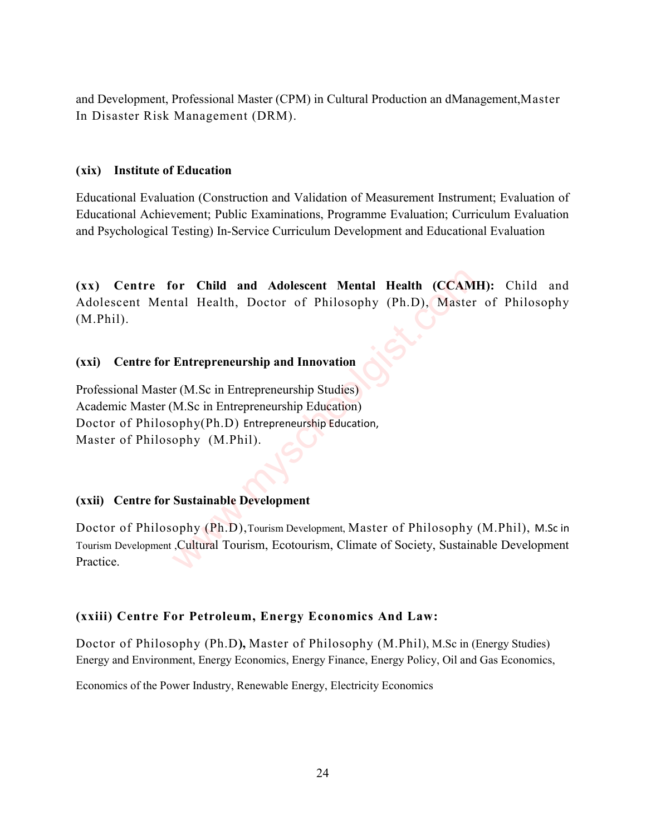and Development, Professional Master (CPM) in Cultural Production an dManagement,Master In Disaster Risk Management (DRM).

#### (xix) Institute of Education

Educational Evaluation (Construction and Validation of Measurement Instrument; Evaluation of Educational Achievement; Public Examinations, Programme Evaluation; Curriculum Evaluation and Psychological Testing) In-Service Curriculum Development and Educational Evaluation

(xx) Centre for Child and Adolescent Mental Health (CCAMH): Child and Adolescent Mental Health, Doctor of Philosophy (Ph.D), Master of Philosophy (M.Phil). or Child and Adolescent Mental Health (CCAM<br>
tal Health, Doctor of Philosophy (Ph.D), Master<br>
Entrepreneurship and Innovation<br>
r (M.Sc in Entrepreneurship Studies)<br>
M.Sc in Entrepreneurship Education<br>
ophy (Ph.D) Entrepren

#### (xxi) Centre for Entrepreneurship and Innovation

Professional Master (M.Sc in Entrepreneurship Studies) Academic Master (M.Sc in Entrepreneurship Education) Doctor of Philosophy(Ph.D) Entrepreneurship Education, Master of Philosophy (M.Phil).

#### (xxii) Centre for Sustainable Development

Doctor of Philosophy (Ph.D),Tourism Development, Master of Philosophy (M.Phil), M.Sc in Tourism Development ,Cultural Tourism, Ecotourism, Climate of Society, Sustainable Development Practice.

#### (xxiii) Centre For Petroleum, Energy Economics And Law:

Doctor of Philosophy (Ph.D), Master of Philosophy (M.Phil), M.Sc in (Energy Studies) Energy and Environment, Energy Economics, Energy Finance, Energy Policy, Oil and Gas Economics,

Economics of the Power Industry, Renewable Energy, Electricity Economics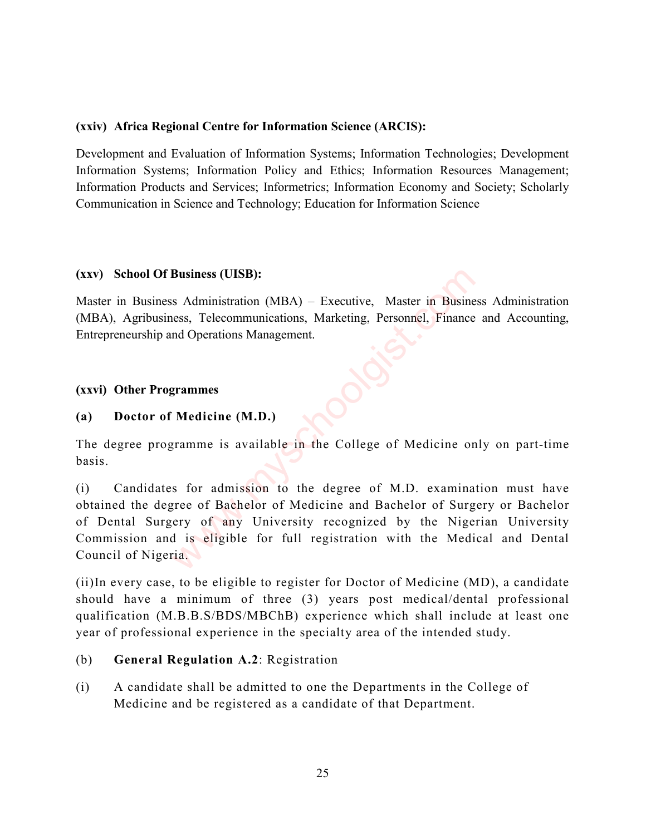#### (xxiv) Africa Regional Centre for Information Science (ARCIS):

Development and Evaluation of Information Systems; Information Technologies; Development Information Systems; Information Policy and Ethics; Information Resources Management; Information Products and Services; Informetrics; Information Economy and Society; Scholarly Communication in Science and Technology; Education for Information Science

#### (xxv) School Of Business (UISB):

Master in Business Administration (MBA) – Executive, Master in Business Administration (MBA), Agribusiness, Telecommunications, Marketing, Personnel, Finance and Accounting, Entrepreneurship and Operations Management.

# (xxvi) Other Programmes

# (a) Doctor of Medicine (M.D.)

The degree programme is available in the College of Medicine only on part-time basis.

(i) Candidates for admission to the degree of M.D. examination must have obtained the degree of Bachelor of Medicine and Bachelor of Surgery or Bachelor of Dental Surgery of any University recognized by the Nigerian University Commission and is eligible for full registration with the Medical and Dental Council of Nigeria. **Business (UISB):**<br>
Sa Administration (MBA) – Executive, Master in Busine<br>
ess, Telecommunications, Marketing, Personnel, Finance<br>
and Operations Management.<br> **Sa Administration Shangement.**<br> **Sa Administration Shangement.** 

(ii)In every case, to be eligible to register for Doctor of Medicine (MD), a candidate should have a minimum of three (3) years post medical/dental professional qualification (M.B.B.S/BDS/MBChB) experience which shall include at least one year of professional experience in the specialty area of the intended study.

# (b) General Regulation A.2: Registration

(i) A candidate shall be admitted to one the Departments in the College of Medicine and be registered as a candidate of that Department.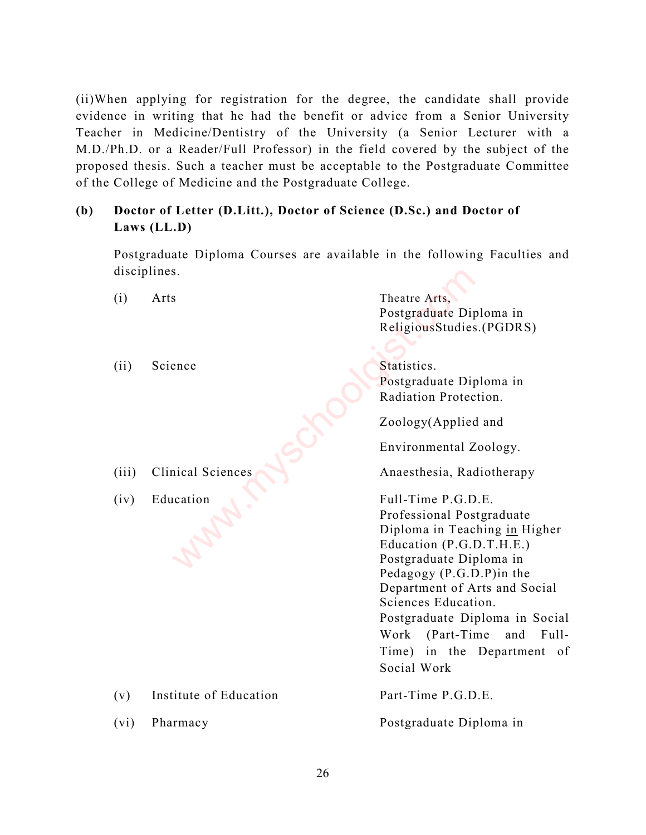(ii)When applying for registration for the degree, the candidate shall provide evidence in writing that he had the benefit or advice from a Senior University Teacher in Medicine/Dentistry of the University (a Senior Lecturer with a M.D./Ph.D. or a Reader/Full Professor) in the field covered by the subject of the proposed thesis. Such a teacher must be acceptable to the Postgraduate Committee of the College of Medicine and the Postgraduate College.

# (b) Doctor of Letter (D.Litt.), Doctor of Science (D.Sc.) and Doctor of Laws (LL.D)

Postgraduate Diploma Courses are available in the following Faculties and disciplines.

| disciplines. |                        |                                          |
|--------------|------------------------|------------------------------------------|
| (i)          | Arts                   | Theatre Arts,<br>Postgraduate Diploma in |
|              |                        | Religious Studies. (PGDRS)               |
| (i)          | Science                | Statistics.                              |
|              |                        | Postgraduate Diploma in                  |
|              |                        | Radiation Protection.                    |
|              |                        | Zoology(Applied and                      |
|              |                        | Environmental Zoology.                   |
| (iii)        | Clinical Sciences      | Anaesthesia, Radiotherapy                |
| (iv)         | Education              | Full-Time P.G.D.E.                       |
|              |                        | Professional Postgraduate                |
|              |                        | Diploma in Teaching in Higher            |
|              |                        | Education (P.G.D.T.H.E.)                 |
|              |                        | Postgraduate Diploma in                  |
|              |                        | Pedagogy (P.G.D.P) in the                |
|              |                        | Department of Arts and Social            |
|              |                        | Sciences Education.                      |
|              |                        | Postgraduate Diploma in Social           |
|              |                        | Work<br>$(Part-Time$<br>Full-<br>and     |
|              |                        | Time) in the Department<br>- of          |
|              |                        | Social Work                              |
| (v)          | Institute of Education | Part-Time P.G.D.E.                       |
| (vi)         | Pharmacy               | Postgraduate Diploma in                  |
|              |                        |                                          |